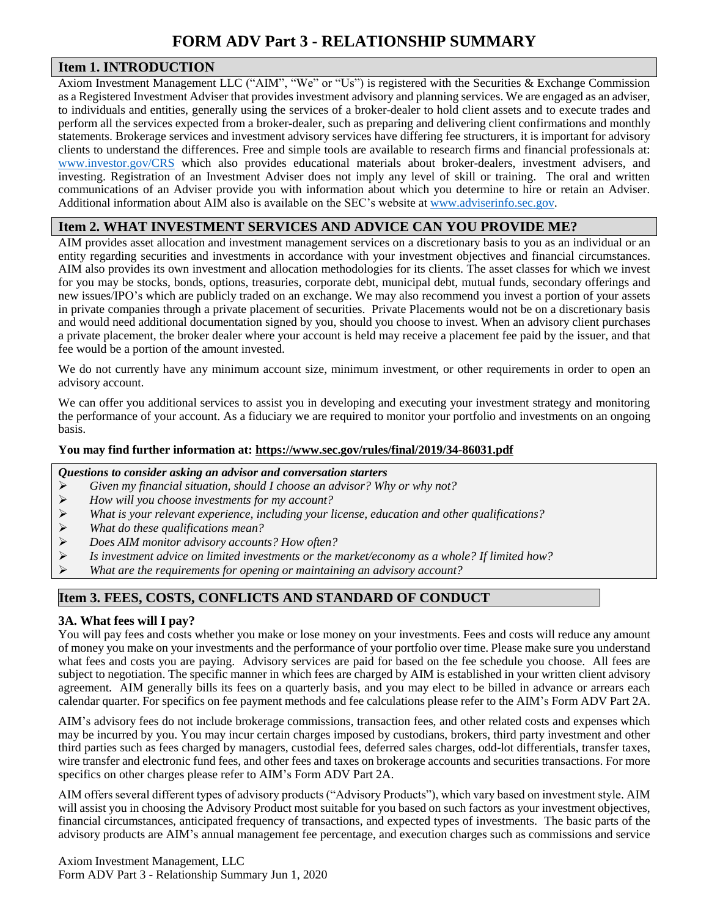# **FORM ADV Part 3 - RELATIONSHIP SUMMARY**

### **Item 1. INTRODUCTION**

Axiom Investment Management LLC ("AIM", "We" or "Us") is registered with the Securities & Exchange Commission as a Registered Investment Adviser that provides investment advisory and planning services. We are engaged as an adviser, to individuals and entities, generally using the services of a broker-dealer to hold client assets and to execute trades and perform all the services expected from a broker-dealer, such as preparing and delivering client confirmations and monthly statements. Brokerage services and investment advisory services have differing fee structurers, it is important for advisory clients to understand the differences. Free and simple tools are available to research firms and financial professionals at: [www.investor.gov/CRS](http://www.investor.gov/CRS) which also provides educational materials about broker-dealers, investment advisers, and investing. Registration of an Investment Adviser does not imply any level of skill or training. The oral and written communications of an Adviser provide you with information about which you determine to hire or retain an Adviser. Additional information about AIM also is available on the SEC's website at [www.adviserinfo.sec.gov.](http://www.adviserinfo.sec.gov/)

## **Item 2. WHAT INVESTMENT SERVICES AND ADVICE CAN YOU PROVIDE ME?**

AIM provides asset allocation and investment management services on a discretionary basis to you as an individual or an entity regarding securities and investments in accordance with your investment objectives and financial circumstances. AIM also provides its own investment and allocation methodologies for its clients. The asset classes for which we invest for you may be stocks, bonds, options, treasuries, corporate debt, municipal debt, mutual funds, secondary offerings and new issues/IPO's which are publicly traded on an exchange. We may also recommend you invest a portion of your assets in private companies through a private placement of securities. Private Placements would not be on a discretionary basis and would need additional documentation signed by you, should you choose to invest. When an advisory client purchases a private placement, the broker dealer where your account is held may receive a placement fee paid by the issuer, and that fee would be a portion of the amount invested.

We do not currently have any minimum account size, minimum investment, or other requirements in order to open an advisory account.

We can offer you additional services to assist you in developing and executing your investment strategy and monitoring the performance of your account. As a fiduciary we are required to monitor your portfolio and investments on an ongoing basis.

#### **You may find further information at[: https://www.sec.gov/rules/final/2019/34-86031.pdf](https://www.sec.gov/rules/final/2019/34-86031.pdf)**

#### *Questions to consider asking an advisor and conversation starters*

- *Given my financial situation, should I choose an advisor? Why or why not?*
- *How will you choose investments for my account?*
- *What is your relevant experience, including your license, education and other qualifications?*
- *What do these qualifications mean?*
- *Does AIM monitor advisory accounts? How often?*
- *Is investment advice on limited investments or the market/economy as a whole? If limited how?*
- *What are the requirements for opening or maintaining an advisory account?*

## **Item 3. FEES, COSTS, CONFLICTS AND STANDARD OF CONDUCT**

### **3A. What fees will I pay?**

You will pay fees and costs whether you make or lose money on your investments. Fees and costs will reduce any amount of money you make on your investments and the performance of your portfolio over time. Please make sure you understand what fees and costs you are paying. Advisory services are paid for based on the fee schedule you choose. All fees are subject to negotiation. The specific manner in which fees are charged by AIM is established in your written client advisory agreement. AIM generally bills its fees on a quarterly basis, and you may elect to be billed in advance or arrears each calendar quarter. For specifics on fee payment methods and fee calculations please refer to the AIM's Form ADV Part 2A.

AIM's advisory fees do not include brokerage commissions, transaction fees, and other related costs and expenses which may be incurred by you. You may incur certain charges imposed by custodians, brokers, third party investment and other third parties such as fees charged by managers, custodial fees, deferred sales charges, odd-lot differentials, transfer taxes, wire transfer and electronic fund fees, and other fees and taxes on brokerage accounts and securities transactions. For more specifics on other charges please refer to AIM's Form ADV Part 2A.

AIM offers several different types of advisory products ("Advisory Products"), which vary based on investment style. AIM will assist you in choosing the Advisory Product most suitable for you based on such factors as your investment objectives, financial circumstances, anticipated frequency of transactions, and expected types of investments. The basic parts of the advisory products are AIM's annual management fee percentage, and execution charges such as commissions and service

Axiom Investment Management, LLC Form ADV Part 3 - Relationship Summary Jun 1, 2020